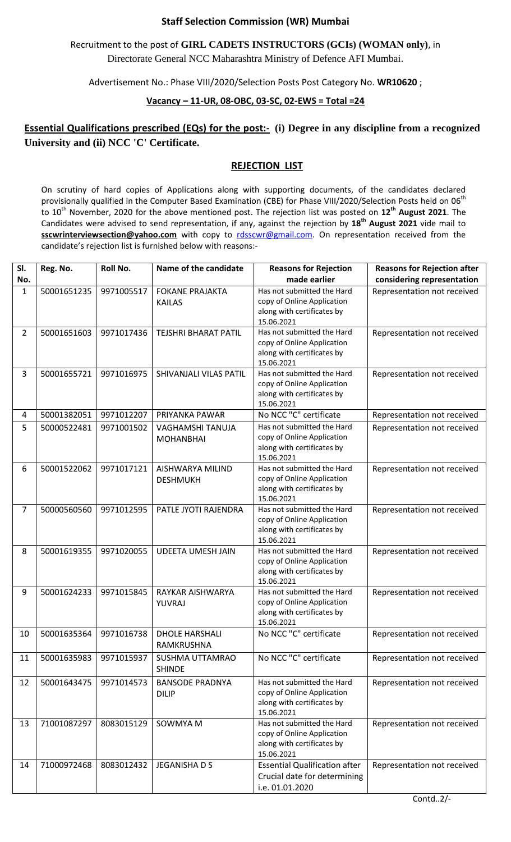## **Staff Selection Commission (WR) Mumbai**

Recruitment to the post of **GIRL CADETS INSTRUCTORS (GCIs) (WOMAN only)**, in Directorate General NCC Maharashtra Ministry of Defence AFI Mumbai.

Advertisement No.: Phase VIII/2020/Selection Posts Post Category No. **WR10620** ;

## **Vacancy – 11-UR, 08-OBC, 03-SC, 02-EWS = Total =24**

## **Essential Qualifications prescribed (EQs) for the post:- (i) Degree in any discipline from a recognized University and (ii) NCC 'C' Certificate.**

## **REJECTION LIST**

On scrutiny of hard copies of Applications along with supporting documents, of the candidates declared provisionally qualified in the Computer Based Examination (CBE) for Phase VIII/2020/Selection Posts held on 06<sup>th</sup> to 10th November, 2020 for the above mentioned post. The rejection list was posted on **12th August 2021**. The Candidates were advised to send representation, if any, against the rejection by **18th August 2021** vide mail to sscwrinterviewsection@yahoo.com with copy to [rdsscwr@gmail.com.](mailto:rdsscwr@gmail.com) On representation received from the candidate's rejection list is furnished below with reasons:-

| SI.<br>No.     | Reg. No.    | Roll No.   | Name of the candidate                   | <b>Reasons for Rejection</b><br>made earlier                                                         | <b>Reasons for Rejection after</b><br>considering representation |
|----------------|-------------|------------|-----------------------------------------|------------------------------------------------------------------------------------------------------|------------------------------------------------------------------|
| 1              | 50001651235 | 9971005517 | <b>FOKANE PRAJAKTA</b><br><b>KAILAS</b> | Has not submitted the Hard<br>copy of Online Application<br>along with certificates by<br>15.06.2021 | Representation not received                                      |
| $\overline{2}$ | 50001651603 | 9971017436 | <b>TEJSHRI BHARAT PATIL</b>             | Has not submitted the Hard<br>copy of Online Application<br>along with certificates by<br>15.06.2021 | Representation not received                                      |
| 3              | 50001655721 | 9971016975 | SHIVANJALI VILAS PATIL                  | Has not submitted the Hard<br>copy of Online Application<br>along with certificates by<br>15.06.2021 | Representation not received                                      |
| 4              | 50001382051 | 9971012207 | PRIYANKA PAWAR                          | No NCC "C" certificate                                                                               | Representation not received                                      |
| 5              | 50000522481 | 9971001502 | VAGHAMSHI TANUJA<br><b>MOHANBHAI</b>    | Has not submitted the Hard<br>copy of Online Application<br>along with certificates by<br>15.06.2021 | Representation not received                                      |
| 6              | 50001522062 | 9971017121 | AISHWARYA MILIND<br><b>DESHMUKH</b>     | Has not submitted the Hard<br>copy of Online Application<br>along with certificates by<br>15.06.2021 | Representation not received                                      |
| $\overline{7}$ | 50000560560 | 9971012595 | PATLE JYOTI RAJENDRA                    | Has not submitted the Hard<br>copy of Online Application<br>along with certificates by<br>15.06.2021 | Representation not received                                      |
| 8              | 50001619355 | 9971020055 | <b>UDEETA UMESH JAIN</b>                | Has not submitted the Hard<br>copy of Online Application<br>along with certificates by<br>15.06.2021 | Representation not received                                      |
| 9              | 50001624233 | 9971015845 | RAYKAR AISHWARYA<br>YUVRAJ              | Has not submitted the Hard<br>copy of Online Application<br>along with certificates by<br>15.06.2021 | Representation not received                                      |
| 10             | 50001635364 | 9971016738 | <b>DHOLE HARSHALI</b><br>RAMKRUSHNA     | No NCC "C" certificate                                                                               | Representation not received                                      |
| 11             | 50001635983 | 9971015937 | SUSHMA UTTAMRAO<br><b>SHINDE</b>        | No NCC "C" certificate                                                                               | Representation not received                                      |
| 12             | 50001643475 | 9971014573 | <b>BANSODE PRADNYA</b><br><b>DILIP</b>  | Has not submitted the Hard<br>copy of Online Application<br>along with certificates by<br>15.06.2021 | Representation not received                                      |
| 13             | 71001087297 | 8083015129 | SOWMYA M                                | Has not submitted the Hard<br>copy of Online Application<br>along with certificates by<br>15.06.2021 | Representation not received                                      |
| 14             | 71000972468 | 8083012432 | JEGANISHA D S                           | <b>Essential Qualification after</b><br>Crucial date for determining<br>i.e. 01.01.2020              | Representation not received                                      |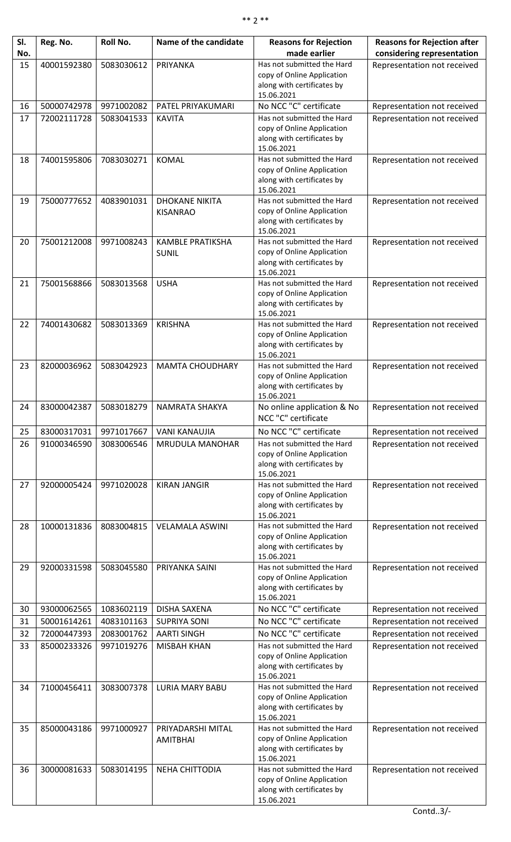| SI. | Reg. No.    | Roll No.   | Name of the candidate                   | <b>Reasons for Rejection</b>                             | <b>Reasons for Rejection after</b> |
|-----|-------------|------------|-----------------------------------------|----------------------------------------------------------|------------------------------------|
| No. |             |            |                                         | made earlier                                             | considering representation         |
| 15  | 40001592380 | 5083030612 | PRIYANKA                                | Has not submitted the Hard<br>copy of Online Application | Representation not received        |
|     |             |            |                                         | along with certificates by                               |                                    |
|     |             |            |                                         | 15.06.2021                                               |                                    |
| 16  | 50000742978 | 9971002082 | PATEL PRIYAKUMARI                       | No NCC "C" certificate                                   | Representation not received        |
| 17  | 72002111728 | 5083041533 | <b>KAVITA</b>                           | Has not submitted the Hard                               | Representation not received        |
|     |             |            |                                         | copy of Online Application                               |                                    |
|     |             |            |                                         | along with certificates by<br>15.06.2021                 |                                    |
| 18  | 74001595806 | 7083030271 | <b>KOMAL</b>                            | Has not submitted the Hard                               | Representation not received        |
|     |             |            |                                         | copy of Online Application                               |                                    |
|     |             |            |                                         | along with certificates by<br>15.06.2021                 |                                    |
| 19  | 75000777652 | 4083901031 | <b>DHOKANE NIKITA</b>                   | Has not submitted the Hard                               | Representation not received        |
|     |             |            | <b>KISANRAO</b>                         | copy of Online Application                               |                                    |
|     |             |            |                                         | along with certificates by                               |                                    |
|     |             |            |                                         | 15.06.2021                                               |                                    |
| 20  | 75001212008 | 9971008243 | <b>KAMBLE PRATIKSHA</b><br><b>SUNIL</b> | Has not submitted the Hard<br>copy of Online Application | Representation not received        |
|     |             |            |                                         | along with certificates by                               |                                    |
|     |             |            |                                         | 15.06.2021                                               |                                    |
| 21  | 75001568866 | 5083013568 | <b>USHA</b>                             | Has not submitted the Hard                               | Representation not received        |
|     |             |            |                                         | copy of Online Application<br>along with certificates by |                                    |
|     |             |            |                                         | 15.06.2021                                               |                                    |
| 22  | 74001430682 | 5083013369 | <b>KRISHNA</b>                          | Has not submitted the Hard                               | Representation not received        |
|     |             |            |                                         | copy of Online Application                               |                                    |
|     |             |            |                                         | along with certificates by<br>15.06.2021                 |                                    |
| 23  | 82000036962 | 5083042923 | <b>MAMTA CHOUDHARY</b>                  | Has not submitted the Hard                               | Representation not received        |
|     |             |            |                                         | copy of Online Application                               |                                    |
|     |             |            |                                         | along with certificates by                               |                                    |
| 24  | 83000042387 | 5083018279 | NAMRATA SHAKYA                          | 15.06.2021<br>No online application & No                 | Representation not received        |
|     |             |            |                                         | NCC "C" certificate                                      |                                    |
| 25  | 83000317031 | 9971017667 | <b>VANI KANAUJIA</b>                    | No NCC "C" certificate                                   | Representation not received        |
| 26  | 91000346590 | 3083006546 | MRUDULA MANOHAR                         | Has not submitted the Hard                               | Representation not received        |
|     |             |            |                                         | copy of Online Application                               |                                    |
|     |             |            |                                         | along with certificates by<br>15.06.2021                 |                                    |
| 27  | 92000005424 | 9971020028 | <b>KIRAN JANGIR</b>                     | Has not submitted the Hard                               | Representation not received        |
|     |             |            |                                         | copy of Online Application                               |                                    |
|     |             |            |                                         | along with certificates by                               |                                    |
| 28  | 10000131836 | 8083004815 | <b>VELAMALA ASWINI</b>                  | 15.06.2021<br>Has not submitted the Hard                 |                                    |
|     |             |            |                                         | copy of Online Application                               | Representation not received        |
|     |             |            |                                         | along with certificates by                               |                                    |
|     |             |            |                                         | 15.06.2021                                               |                                    |
| 29  | 92000331598 | 5083045580 | PRIYANKA SAINI                          | Has not submitted the Hard<br>copy of Online Application | Representation not received        |
|     |             |            |                                         | along with certificates by                               |                                    |
|     |             |            |                                         | 15.06.2021                                               |                                    |
| 30  | 93000062565 | 1083602119 | <b>DISHA SAXENA</b>                     | No NCC "C" certificate                                   | Representation not received        |
| 31  | 50001614261 | 4083101163 | <b>SUPRIYA SONI</b>                     | No NCC "C" certificate                                   | Representation not received        |
| 32  | 72000447393 | 2083001762 | <b>AARTI SINGH</b>                      | No NCC "C" certificate                                   | Representation not received        |
| 33  | 85000233326 | 9971019276 | <b>MISBAH KHAN</b>                      | Has not submitted the Hard<br>copy of Online Application | Representation not received        |
|     |             |            |                                         | along with certificates by                               |                                    |
|     |             |            |                                         | 15.06.2021                                               |                                    |
| 34  | 71000456411 | 3083007378 | <b>LURIA MARY BABU</b>                  | Has not submitted the Hard                               | Representation not received        |
|     |             |            |                                         | copy of Online Application<br>along with certificates by |                                    |
|     |             |            |                                         | 15.06.2021                                               |                                    |
| 35  | 85000043186 | 9971000927 | PRIYADARSHI MITAL                       | Has not submitted the Hard                               | Representation not received        |
|     |             |            | <b>AMITBHAI</b>                         | copy of Online Application                               |                                    |
|     |             |            |                                         | along with certificates by<br>15.06.2021                 |                                    |
| 36  | 30000081633 | 5083014195 | <b>NEHA CHITTODIA</b>                   | Has not submitted the Hard                               | Representation not received        |
|     |             |            |                                         | copy of Online Application                               |                                    |
|     |             |            |                                         | along with certificates by<br>15.06.2021                 |                                    |
|     |             |            |                                         |                                                          |                                    |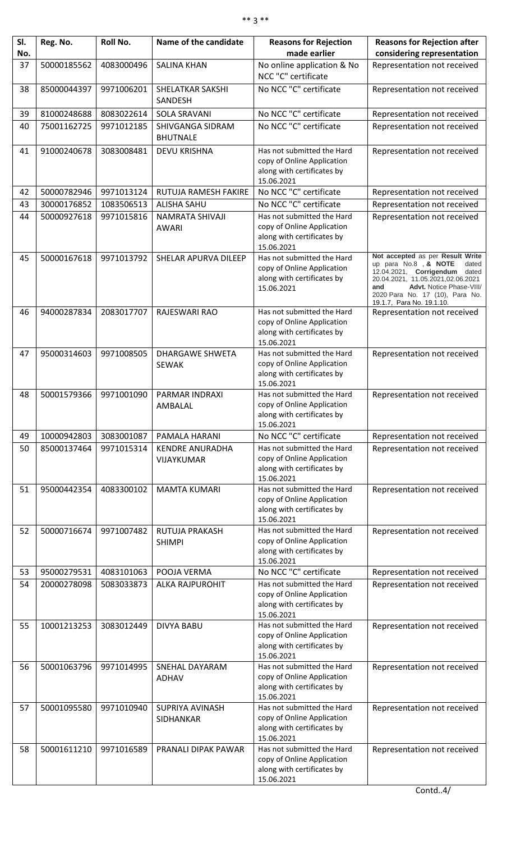| SI. | Reg. No.    | Roll No.   | Name of the candidate                  | <b>Reasons for Rejection</b>                                                                         | <b>Reasons for Rejection after</b>                                                                                                                                                                                                         |
|-----|-------------|------------|----------------------------------------|------------------------------------------------------------------------------------------------------|--------------------------------------------------------------------------------------------------------------------------------------------------------------------------------------------------------------------------------------------|
| No. |             |            |                                        | made earlier                                                                                         | considering representation                                                                                                                                                                                                                 |
| 37  | 50000185562 | 4083000496 | <b>SALINA KHAN</b>                     | No online application & No<br>NCC "C" certificate                                                    | Representation not received                                                                                                                                                                                                                |
| 38  | 85000044397 | 9971006201 | <b>SHELATKAR SAKSHI</b><br>SANDESH     | No NCC "C" certificate                                                                               | Representation not received                                                                                                                                                                                                                |
| 39  | 81000248688 | 8083022614 | <b>SOLA SRAVANI</b>                    | No NCC "C" certificate                                                                               | Representation not received                                                                                                                                                                                                                |
| 40  | 75001162725 | 9971012185 | SHIVGANGA SIDRAM                       | No NCC "C" certificate                                                                               | Representation not received                                                                                                                                                                                                                |
|     |             |            | <b>BHUTNALE</b>                        |                                                                                                      |                                                                                                                                                                                                                                            |
| 41  | 91000240678 | 3083008481 | <b>DEVU KRISHNA</b>                    | Has not submitted the Hard<br>copy of Online Application                                             | Representation not received                                                                                                                                                                                                                |
|     |             |            |                                        | along with certificates by<br>15.06.2021                                                             |                                                                                                                                                                                                                                            |
| 42  | 50000782946 | 9971013124 | RUTUJA RAMESH FAKIRE                   | No NCC "C" certificate                                                                               | Representation not received                                                                                                                                                                                                                |
| 43  | 30000176852 | 1083506513 | <b>ALISHA SAHU</b>                     | No NCC "C" certificate                                                                               | Representation not received                                                                                                                                                                                                                |
| 44  | 50000927618 | 9971015816 | NAMRATA SHIVAJI<br><b>AWARI</b>        | Has not submitted the Hard<br>copy of Online Application<br>along with certificates by<br>15.06.2021 | Representation not received                                                                                                                                                                                                                |
| 45  | 50000167618 | 9971013792 | SHELAR APURVA DILEEP                   | Has not submitted the Hard<br>copy of Online Application<br>along with certificates by<br>15.06.2021 | Not accepted as per Result Write<br>up para No.8, & NOTE<br>dated<br>12.04.2021, Corrigendum dated<br>20.04.2021, 11.05.2021,02.06.2021<br>Advt. Notice Phase-VIII/<br>and<br>2020 Para No. 17 (10), Para No.<br>19.1.7, Para No. 19.1.10. |
| 46  | 94000287834 | 2083017707 | RAJESWARI RAO                          | Has not submitted the Hard<br>copy of Online Application<br>along with certificates by<br>15.06.2021 | Representation not received                                                                                                                                                                                                                |
| 47  | 95000314603 | 9971008505 | <b>DHARGAWE SHWETA</b><br><b>SEWAK</b> | Has not submitted the Hard<br>copy of Online Application<br>along with certificates by<br>15.06.2021 | Representation not received                                                                                                                                                                                                                |
| 48  | 50001579366 | 9971001090 | PARMAR INDRAXI<br>AMBALAL              | Has not submitted the Hard<br>copy of Online Application<br>along with certificates by<br>15.06.2021 | Representation not received                                                                                                                                                                                                                |
| 49  | 10000942803 | 3083001087 | PAMALA HARANI                          | No NCC "C" certificate                                                                               | Representation not received                                                                                                                                                                                                                |
| 50  | 85000137464 | 9971015314 | <b>KENDRE ANURADHA</b>                 | Has not submitted the Hard                                                                           | Representation not received                                                                                                                                                                                                                |
|     |             |            | VIJAYKUMAR                             | copy of Online Application<br>along with certificates by<br>15.06.2021                               |                                                                                                                                                                                                                                            |
| 51  | 95000442354 | 4083300102 | <b>MAMTA KUMARI</b>                    | Has not submitted the Hard<br>copy of Online Application<br>along with certificates by<br>15.06.2021 | Representation not received                                                                                                                                                                                                                |
| 52  | 50000716674 | 9971007482 | <b>RUTUJA PRAKASH</b><br><b>SHIMPI</b> | Has not submitted the Hard<br>copy of Online Application<br>along with certificates by<br>15.06.2021 | Representation not received                                                                                                                                                                                                                |
| 53  | 95000279531 | 4083101063 | POOJA VERMA                            | No NCC "C" certificate                                                                               | Representation not received                                                                                                                                                                                                                |
| 54  | 20000278098 | 5083033873 | <b>ALKA RAJPUROHIT</b>                 | Has not submitted the Hard<br>copy of Online Application<br>along with certificates by<br>15.06.2021 | Representation not received                                                                                                                                                                                                                |
| 55  | 10001213253 | 3083012449 | <b>DIVYA BABU</b>                      | Has not submitted the Hard<br>copy of Online Application<br>along with certificates by<br>15.06.2021 | Representation not received                                                                                                                                                                                                                |
| 56  | 50001063796 | 9971014995 | <b>SNEHAL DAYARAM</b><br><b>ADHAV</b>  | Has not submitted the Hard<br>copy of Online Application<br>along with certificates by<br>15.06.2021 | Representation not received                                                                                                                                                                                                                |
| 57  | 50001095580 | 9971010940 | <b>SUPRIYA AVINASH</b><br>SIDHANKAR    | Has not submitted the Hard<br>copy of Online Application<br>along with certificates by<br>15.06.2021 | Representation not received                                                                                                                                                                                                                |
| 58  | 50001611210 | 9971016589 | PRANALI DIPAK PAWAR                    | Has not submitted the Hard<br>copy of Online Application<br>along with certificates by<br>15.06.2021 | Representation not received                                                                                                                                                                                                                |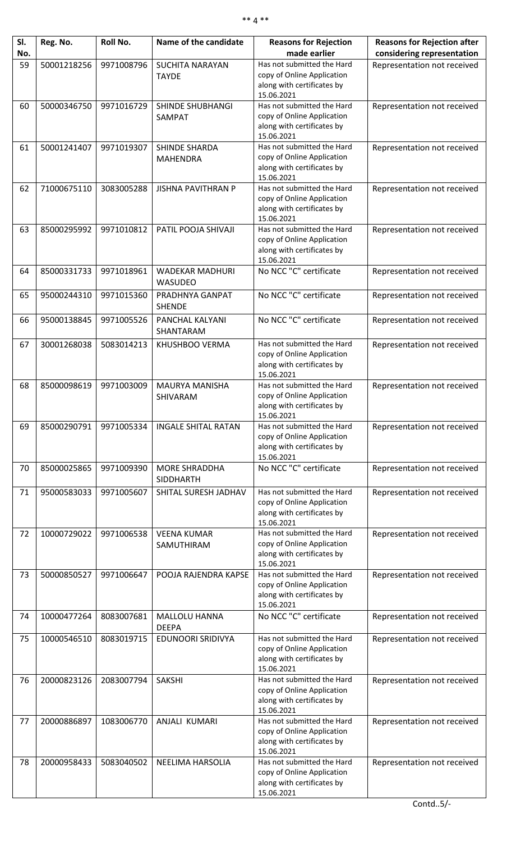| SI. | Reg. No.    | Roll No.   | Name of the candidate                  | <b>Reasons for Rejection</b>                             | <b>Reasons for Rejection after</b> |
|-----|-------------|------------|----------------------------------------|----------------------------------------------------------|------------------------------------|
| No. |             | 9971008796 |                                        | made earlier<br>Has not submitted the Hard               | considering representation         |
| 59  | 50001218256 |            | <b>SUCHITA NARAYAN</b><br><b>TAYDE</b> | copy of Online Application                               | Representation not received        |
|     |             |            |                                        | along with certificates by                               |                                    |
|     |             |            |                                        | 15.06.2021                                               |                                    |
| 60  | 50000346750 | 9971016729 | <b>SHINDE SHUBHANGI</b>                | Has not submitted the Hard                               | Representation not received        |
|     |             |            | SAMPAT                                 | copy of Online Application                               |                                    |
|     |             |            |                                        | along with certificates by<br>15.06.2021                 |                                    |
| 61  | 50001241407 | 9971019307 | SHINDE SHARDA                          | Has not submitted the Hard                               | Representation not received        |
|     |             |            | <b>MAHENDRA</b>                        | copy of Online Application                               |                                    |
|     |             |            |                                        | along with certificates by                               |                                    |
|     |             |            |                                        | 15.06.2021                                               |                                    |
| 62  | 71000675110 | 3083005288 | <b>JISHNA PAVITHRAN P</b>              | Has not submitted the Hard<br>copy of Online Application | Representation not received        |
|     |             |            |                                        | along with certificates by                               |                                    |
|     |             |            |                                        | 15.06.2021                                               |                                    |
| 63  | 85000295992 | 9971010812 | PATIL POOJA SHIVAJI                    | Has not submitted the Hard                               | Representation not received        |
|     |             |            |                                        | copy of Online Application                               |                                    |
|     |             |            |                                        | along with certificates by<br>15.06.2021                 |                                    |
| 64  | 85000331733 | 9971018961 | <b>WADEKAR MADHURI</b>                 | No NCC "C" certificate                                   | Representation not received        |
|     |             |            | <b>WASUDEO</b>                         |                                                          |                                    |
| 65  | 95000244310 | 9971015360 | PRADHNYA GANPAT                        | No NCC "C" certificate                                   | Representation not received        |
|     |             |            | <b>SHENDE</b>                          |                                                          |                                    |
| 66  | 95000138845 | 9971005526 | PANCHAL KALYANI                        | No NCC "C" certificate                                   | Representation not received        |
|     |             |            | SHANTARAM                              |                                                          |                                    |
| 67  | 30001268038 | 5083014213 | KHUSHBOO VERMA                         | Has not submitted the Hard                               | Representation not received        |
|     |             |            |                                        | copy of Online Application                               |                                    |
|     |             |            |                                        | along with certificates by<br>15.06.2021                 |                                    |
| 68  | 85000098619 | 9971003009 | <b>MAURYA MANISHA</b>                  | Has not submitted the Hard                               | Representation not received        |
|     |             |            | SHIVARAM                               | copy of Online Application                               |                                    |
|     |             |            |                                        | along with certificates by                               |                                    |
|     |             |            |                                        | 15.06.2021                                               |                                    |
| 69  | 85000290791 | 9971005334 | <b>INGALE SHITAL RATAN</b>             | Has not submitted the Hard<br>copy of Online Application | Representation not received        |
|     |             |            |                                        | along with certificates by                               |                                    |
|     |             |            |                                        | 15.06.2021                                               |                                    |
| 70  | 85000025865 | 9971009390 | <b>MORE SHRADDHA</b>                   | No NCC "C" certificate                                   | Representation not received        |
|     |             |            | <b>SIDDHARTH</b>                       |                                                          |                                    |
| 71  | 95000583033 | 9971005607 | SHITAL SURESH JADHAV                   | Has not submitted the Hard                               | Representation not received        |
|     |             |            |                                        | copy of Online Application<br>along with certificates by |                                    |
|     |             |            |                                        | 15.06.2021                                               |                                    |
| 72  | 10000729022 | 9971006538 | <b>VEENA KUMAR</b>                     | Has not submitted the Hard                               | Representation not received        |
|     |             |            | SAMUTHIRAM                             | copy of Online Application                               |                                    |
|     |             |            |                                        | along with certificates by<br>15.06.2021                 |                                    |
| 73  | 50000850527 | 9971006647 | POOJA RAJENDRA KAPSE                   | Has not submitted the Hard                               | Representation not received        |
|     |             |            |                                        | copy of Online Application                               |                                    |
|     |             |            |                                        | along with certificates by                               |                                    |
|     |             |            |                                        | 15.06.2021<br>No NCC "C" certificate                     |                                    |
| 74  | 10000477264 | 8083007681 | MALLOLU HANNA<br><b>DEEPA</b>          |                                                          | Representation not received        |
| 75  | 10000546510 | 8083019715 | <b>EDUNOORI SRIDIVYA</b>               | Has not submitted the Hard                               | Representation not received        |
|     |             |            |                                        | copy of Online Application                               |                                    |
|     |             |            |                                        | along with certificates by                               |                                    |
|     |             |            |                                        | 15.06.2021                                               |                                    |
| 76  | 20000823126 | 2083007794 | <b>SAKSHI</b>                          | Has not submitted the Hard<br>copy of Online Application | Representation not received        |
|     |             |            |                                        | along with certificates by                               |                                    |
|     |             |            |                                        | 15.06.2021                                               |                                    |
| 77  | 20000886897 | 1083006770 | <b>ANJALI KUMARI</b>                   | Has not submitted the Hard                               | Representation not received        |
|     |             |            |                                        | copy of Online Application                               |                                    |
|     |             |            |                                        | along with certificates by<br>15.06.2021                 |                                    |
| 78  | 20000958433 | 5083040502 | NEELIMA HARSOLIA                       | Has not submitted the Hard                               | Representation not received        |
|     |             |            |                                        | copy of Online Application                               |                                    |
|     |             |            |                                        | along with certificates by                               |                                    |
|     |             |            |                                        | 15.06.2021                                               |                                    |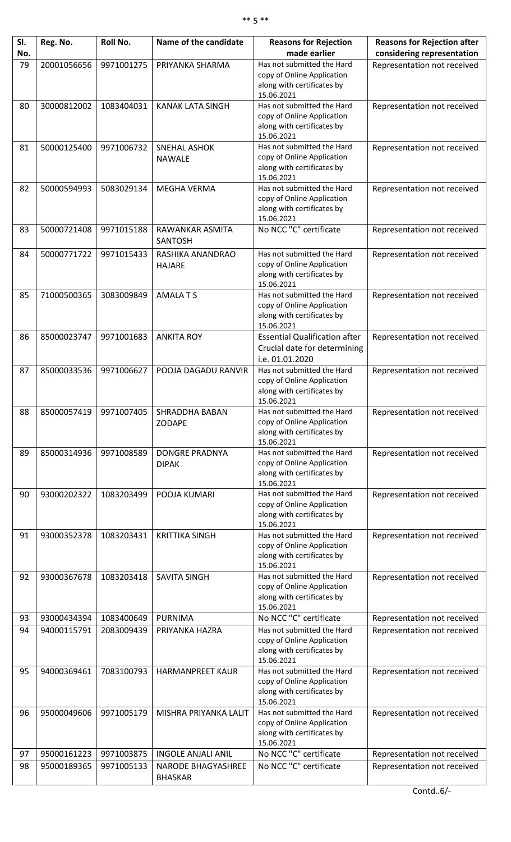| SI.<br>No. | Reg. No.    | Roll No.   | Name of the candidate                        | <b>Reasons for Rejection</b><br>made earlier                                                         | <b>Reasons for Rejection after</b><br>considering representation |
|------------|-------------|------------|----------------------------------------------|------------------------------------------------------------------------------------------------------|------------------------------------------------------------------|
| 79         | 20001056656 | 9971001275 | PRIYANKA SHARMA                              | Has not submitted the Hard<br>copy of Online Application<br>along with certificates by<br>15.06.2021 | Representation not received                                      |
| 80         | 30000812002 | 1083404031 | <b>KANAK LATA SINGH</b>                      | Has not submitted the Hard<br>copy of Online Application<br>along with certificates by<br>15.06.2021 | Representation not received                                      |
| 81         | 50000125400 | 9971006732 | <b>SNEHAL ASHOK</b><br><b>NAWALE</b>         | Has not submitted the Hard<br>copy of Online Application<br>along with certificates by<br>15.06.2021 | Representation not received                                      |
| 82         | 50000594993 | 5083029134 | <b>MEGHA VERMA</b>                           | Has not submitted the Hard<br>copy of Online Application<br>along with certificates by<br>15.06.2021 | Representation not received                                      |
| 83         | 50000721408 | 9971015188 | RAWANKAR ASMITA<br><b>SANTOSH</b>            | No NCC "C" certificate                                                                               | Representation not received                                      |
| 84         | 50000771722 | 9971015433 | RASHIKA ANANDRAO<br><b>HAJARE</b>            | Has not submitted the Hard<br>copy of Online Application<br>along with certificates by<br>15.06.2021 | Representation not received                                      |
| 85         | 71000500365 | 3083009849 | <b>AMALATS</b>                               | Has not submitted the Hard<br>copy of Online Application<br>along with certificates by<br>15.06.2021 | Representation not received                                      |
| 86         | 85000023747 | 9971001683 | <b>ANKITA ROY</b>                            | <b>Essential Qualification after</b><br>Crucial date for determining<br>i.e. 01.01.2020              | Representation not received                                      |
| 87         | 85000033536 | 9971006627 | POOJA DAGADU RANVIR                          | Has not submitted the Hard<br>copy of Online Application<br>along with certificates by<br>15.06.2021 | Representation not received                                      |
| 88         | 85000057419 |            | 9971007405   SHRADDHA BABAN<br><b>ZODAPE</b> | Has not submitted the Hard<br>copy of Online Application<br>along with certificates by<br>15.06.2021 | Representation not received                                      |
| 89         | 85000314936 | 9971008589 | <b>DONGRE PRADNYA</b><br><b>DIPAK</b>        | Has not submitted the Hard<br>copy of Online Application<br>along with certificates by<br>15.06.2021 | Representation not received                                      |
| 90         | 93000202322 | 1083203499 | POOJA KUMARI                                 | Has not submitted the Hard<br>copy of Online Application<br>along with certificates by<br>15.06.2021 | Representation not received                                      |
| 91         | 93000352378 | 1083203431 | <b>KRITTIKA SINGH</b>                        | Has not submitted the Hard<br>copy of Online Application<br>along with certificates by<br>15.06.2021 | Representation not received                                      |
| 92         | 93000367678 | 1083203418 | <b>SAVITA SINGH</b>                          | Has not submitted the Hard<br>copy of Online Application<br>along with certificates by<br>15.06.2021 | Representation not received                                      |
| 93         | 93000434394 | 1083400649 | <b>PURNIMA</b>                               | No NCC "C" certificate                                                                               | Representation not received                                      |
| 94         | 94000115791 | 2083009439 | PRIYANKA HAZRA                               | Has not submitted the Hard<br>copy of Online Application<br>along with certificates by<br>15.06.2021 | Representation not received                                      |
| 95         | 94000369461 | 7083100793 | <b>HARMANPREET KAUR</b>                      | Has not submitted the Hard<br>copy of Online Application<br>along with certificates by<br>15.06.2021 | Representation not received                                      |
| 96         | 95000049606 | 9971005179 | MISHRA PRIYANKA LALIT                        | Has not submitted the Hard<br>copy of Online Application<br>along with certificates by<br>15.06.2021 | Representation not received                                      |
| 97         | 95000161223 | 9971003875 | <b>INGOLE ANJALI ANIL</b>                    | No NCC "C" certificate                                                                               | Representation not received                                      |
| 98         | 95000189365 | 9971005133 | NARODE BHAGYASHREE<br><b>BHASKAR</b>         | No NCC "C" certificate                                                                               | Representation not received                                      |

Contd..6/-